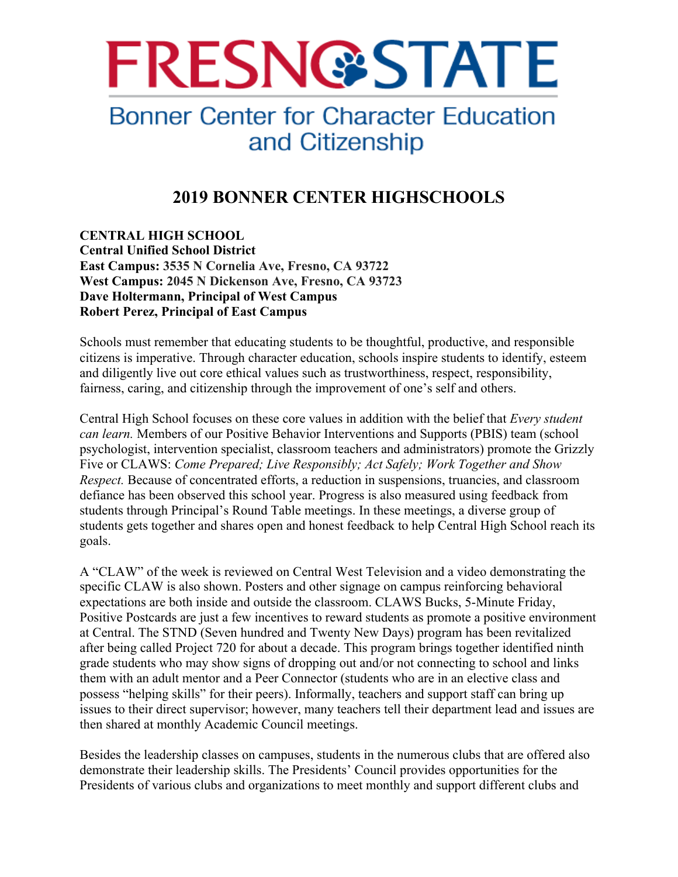

## **Bonner Center for Character Education** and Citizenship

## **2019 BONNER CENTER HIGHSCHOOLS**

**CENTRAL HIGH SCHOOL Central Unified School District East Campus: 3535 N Cornelia Ave, Fresno, CA 93722 West Campus: 2045 N Dickenson Ave, Fresno, CA 93723 Dave Holtermann, Principal of West Campus Robert Perez, Principal of East Campus** 

Schools must remember that educating students to be thoughtful, productive, and responsible citizens is imperative. Through character education, schools inspire students to identify, esteem and diligently live out core ethical values such as trustworthiness, respect, responsibility, fairness, caring, and citizenship through the improvement of one's self and others.

Central High School focuses on these core values in addition with the belief that *Every student can learn.* Members of our Positive Behavior Interventions and Supports (PBIS) team (school psychologist, intervention specialist, classroom teachers and administrators) promote the Grizzly Five or CLAWS: *Come Prepared; Live Responsibly; Act Safely; Work Together and Show Respect.* Because of concentrated efforts, a reduction in suspensions, truancies, and classroom defiance has been observed this school year. Progress is also measured using feedback from students through Principal's Round Table meetings. In these meetings, a diverse group of students gets together and shares open and honest feedback to help Central High School reach its goals.

A "CLAW" of the week is reviewed on Central West Television and a video demonstrating the specific CLAW is also shown. Posters and other signage on campus reinforcing behavioral expectations are both inside and outside the classroom. CLAWS Bucks, 5-Minute Friday, Positive Postcards are just a few incentives to reward students as promote a positive environment at Central. The STND (Seven hundred and Twenty New Days) program has been revitalized after being called Project 720 for about a decade. This program brings together identified ninth grade students who may show signs of dropping out and/or not connecting to school and links them with an adult mentor and a Peer Connector (students who are in an elective class and possess "helping skills" for their peers). Informally, teachers and support staff can bring up issues to their direct supervisor; however, many teachers tell their department lead and issues are then shared at monthly Academic Council meetings.

Besides the leadership classes on campuses, students in the numerous clubs that are offered also demonstrate their leadership skills. The Presidents' Council provides opportunities for the Presidents of various clubs and organizations to meet monthly and support different clubs and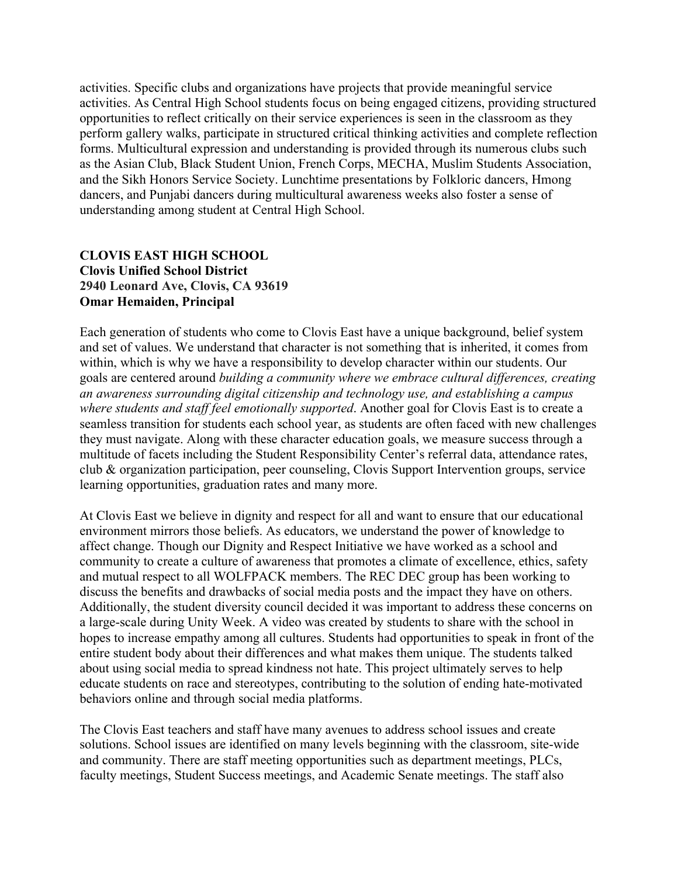activities. Specific clubs and organizations have projects that provide meaningful service activities. As Central High School students focus on being engaged citizens, providing structured opportunities to reflect critically on their service experiences is seen in the classroom as they perform gallery walks, participate in structured critical thinking activities and complete reflection forms. Multicultural expression and understanding is provided through its numerous clubs such as the Asian Club, Black Student Union, French Corps, MECHA, Muslim Students Association, and the Sikh Honors Service Society. Lunchtime presentations by Folkloric dancers, Hmong dancers, and Punjabi dancers during multicultural awareness weeks also foster a sense of understanding among student at Central High School.

## **CLOVIS EAST HIGH SCHOOL Clovis Unified School District 2940 Leonard Ave, Clovis, CA 93619 Omar Hemaiden, Principal**

Each generation of students who come to Clovis East have a unique background, belief system and set of values. We understand that character is not something that is inherited, it comes from within, which is why we have a responsibility to develop character within our students. Our goals are centered around *building a community where we embrace cultural differences, creating an awareness surrounding digital citizenship and technology use, and establishing a campus where students and staff feel emotionally supported*. Another goal for Clovis East is to create a seamless transition for students each school year, as students are often faced with new challenges they must navigate. Along with these character education goals, we measure success through a multitude of facets including the Student Responsibility Center's referral data, attendance rates, club & organization participation, peer counseling, Clovis Support Intervention groups, service learning opportunities, graduation rates and many more.

At Clovis East we believe in dignity and respect for all and want to ensure that our educational environment mirrors those beliefs. As educators, we understand the power of knowledge to affect change. Though our Dignity and Respect Initiative we have worked as a school and community to create a culture of awareness that promotes a climate of excellence, ethics, safety and mutual respect to all WOLFPACK members. The REC DEC group has been working to discuss the benefits and drawbacks of social media posts and the impact they have on others. Additionally, the student diversity council decided it was important to address these concerns on a large-scale during Unity Week. A video was created by students to share with the school in hopes to increase empathy among all cultures. Students had opportunities to speak in front of the entire student body about their differences and what makes them unique. The students talked about using social media to spread kindness not hate. This project ultimately serves to help educate students on race and stereotypes, contributing to the solution of ending hate-motivated behaviors online and through social media platforms.

The Clovis East teachers and staff have many avenues to address school issues and create solutions. School issues are identified on many levels beginning with the classroom, site-wide and community. There are staff meeting opportunities such as department meetings, PLCs, faculty meetings, Student Success meetings, and Academic Senate meetings. The staff also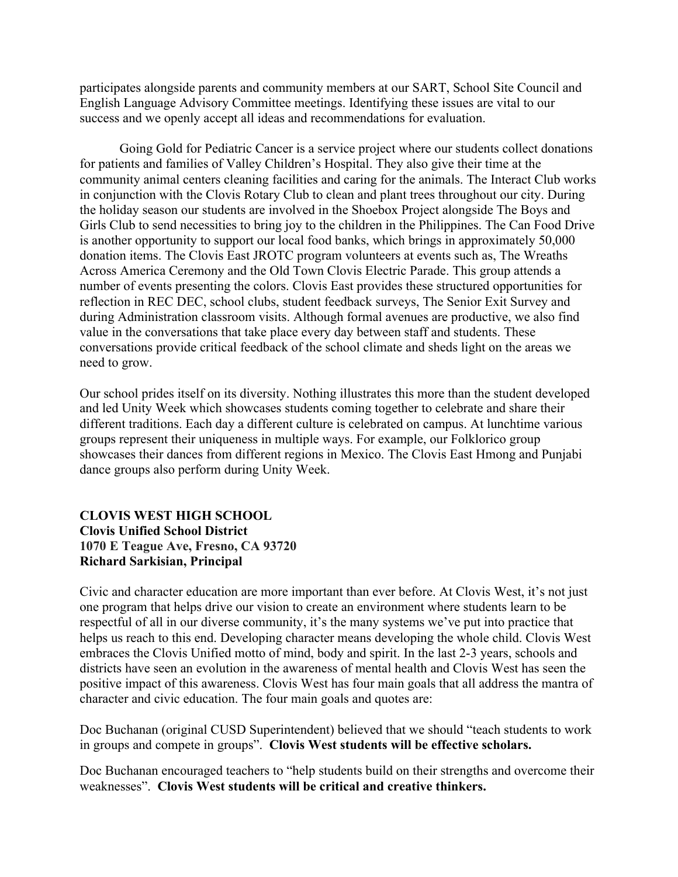participates alongside parents and community members at our SART, School Site Council and English Language Advisory Committee meetings. Identifying these issues are vital to our success and we openly accept all ideas and recommendations for evaluation.

Going Gold for Pediatric Cancer is a service project where our students collect donations for patients and families of Valley Children's Hospital. They also give their time at the community animal centers cleaning facilities and caring for the animals. The Interact Club works in conjunction with the Clovis Rotary Club to clean and plant trees throughout our city. During the holiday season our students are involved in the Shoebox Project alongside The Boys and Girls Club to send necessities to bring joy to the children in the Philippines. The Can Food Drive is another opportunity to support our local food banks, which brings in approximately 50,000 donation items. The Clovis East JROTC program volunteers at events such as, The Wreaths Across America Ceremony and the Old Town Clovis Electric Parade. This group attends a number of events presenting the colors. Clovis East provides these structured opportunities for reflection in REC DEC, school clubs, student feedback surveys, The Senior Exit Survey and during Administration classroom visits. Although formal avenues are productive, we also find value in the conversations that take place every day between staff and students. These conversations provide critical feedback of the school climate and sheds light on the areas we need to grow.

Our school prides itself on its diversity. Nothing illustrates this more than the student developed and led Unity Week which showcases students coming together to celebrate and share their different traditions. Each day a different culture is celebrated on campus. At lunchtime various groups represent their uniqueness in multiple ways. For example, our Folklorico group showcases their dances from different regions in Mexico. The Clovis East Hmong and Punjabi dance groups also perform during Unity Week.

## **CLOVIS WEST HIGH SCHOOL Clovis Unified School District 1070 E Teague Ave, Fresno, CA 93720 Richard Sarkisian, Principal**

Civic and character education are more important than ever before. At Clovis West, it's not just one program that helps drive our vision to create an environment where students learn to be respectful of all in our diverse community, it's the many systems we've put into practice that helps us reach to this end. Developing character means developing the whole child. Clovis West embraces the Clovis Unified motto of mind, body and spirit. In the last 2-3 years, schools and districts have seen an evolution in the awareness of mental health and Clovis West has seen the positive impact of this awareness. Clovis West has four main goals that all address the mantra of character and civic education. The four main goals and quotes are:

Doc Buchanan (original CUSD Superintendent) believed that we should "teach students to work in groups and compete in groups". **Clovis West students will be effective scholars.** 

Doc Buchanan encouraged teachers to "help students build on their strengths and overcome their weaknesses". **Clovis West students will be critical and creative thinkers.**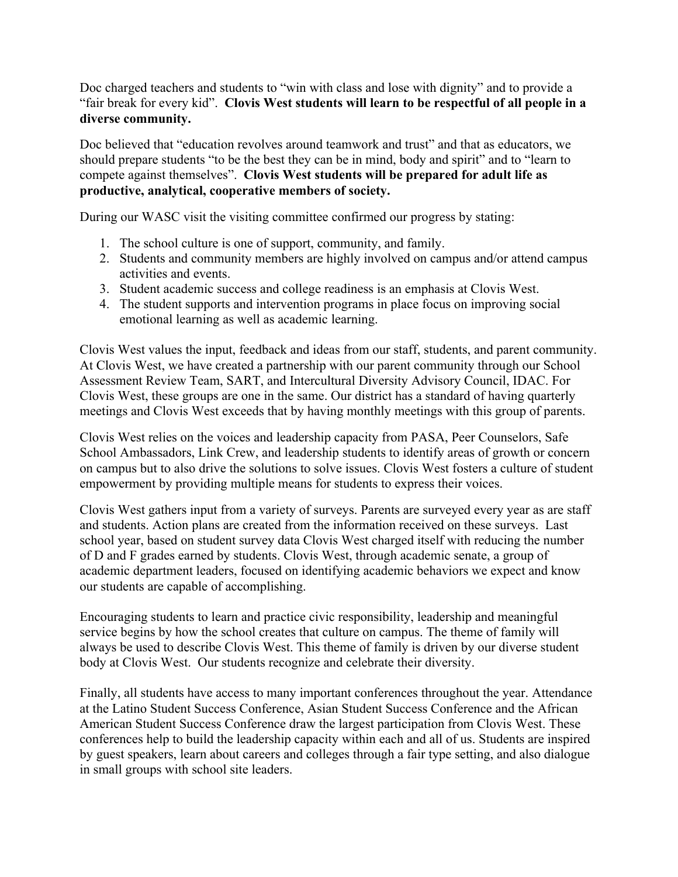Doc charged teachers and students to "win with class and lose with dignity" and to provide a "fair break for every kid". **Clovis West students will learn to be respectful of all people in a diverse community.**

Doc believed that "education revolves around teamwork and trust" and that as educators, we should prepare students "to be the best they can be in mind, body and spirit" and to "learn to compete against themselves". **Clovis West students will be prepared for adult life as productive, analytical, cooperative members of society.**

During our WASC visit the visiting committee confirmed our progress by stating:

- 1. The school culture is one of support, community, and family.
- 2. Students and community members are highly involved on campus and/or attend campus activities and events.
- 3. Student academic success and college readiness is an emphasis at Clovis West.
- 4. The student supports and intervention programs in place focus on improving social emotional learning as well as academic learning.

Clovis West values the input, feedback and ideas from our staff, students, and parent community. At Clovis West, we have created a partnership with our parent community through our School Assessment Review Team, SART, and Intercultural Diversity Advisory Council, IDAC. For Clovis West, these groups are one in the same. Our district has a standard of having quarterly meetings and Clovis West exceeds that by having monthly meetings with this group of parents.

Clovis West relies on the voices and leadership capacity from PASA, Peer Counselors, Safe School Ambassadors, Link Crew, and leadership students to identify areas of growth or concern on campus but to also drive the solutions to solve issues. Clovis West fosters a culture of student empowerment by providing multiple means for students to express their voices.

Clovis West gathers input from a variety of surveys. Parents are surveyed every year as are staff and students. Action plans are created from the information received on these surveys. Last school year, based on student survey data Clovis West charged itself with reducing the number of D and F grades earned by students. Clovis West, through academic senate, a group of academic department leaders, focused on identifying academic behaviors we expect and know our students are capable of accomplishing.

Encouraging students to learn and practice civic responsibility, leadership and meaningful service begins by how the school creates that culture on campus. The theme of family will always be used to describe Clovis West. This theme of family is driven by our diverse student body at Clovis West. Our students recognize and celebrate their diversity.

Finally, all students have access to many important conferences throughout the year. Attendance at the Latino Student Success Conference, Asian Student Success Conference and the African American Student Success Conference draw the largest participation from Clovis West. These conferences help to build the leadership capacity within each and all of us. Students are inspired by guest speakers, learn about careers and colleges through a fair type setting, and also dialogue in small groups with school site leaders.